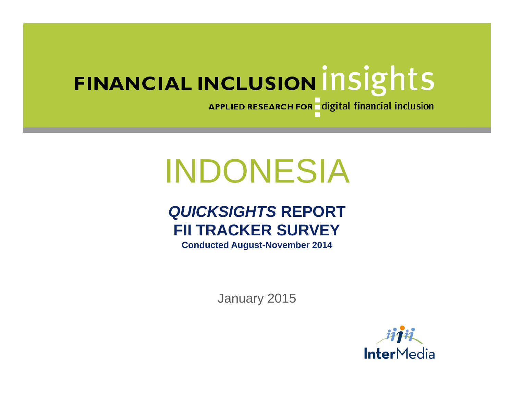APPLIED RESEARCH FOR digital financial inclusion

# INDONESIA

# *QUICKSIGHTS* **REPORT FII TRACKER SURVEY**

**Conducted August-November 2014**

January 2015

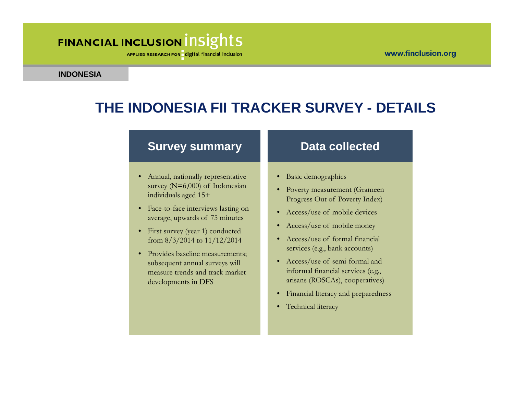#### www.finclusion.org

### FINANCIAL INCLUSION INSIGHTS

APPLIED RESEARCH FOR digital financial inclusion

**INDONESIA**

### **THE INDONESIA FII TRACKER SURVEY - DETAILS**

#### **Survey summary**

- Annual, nationally representative survey (N=6,000) of Indonesian individuals aged 15+
- Face-to-face interviews lasting on average, upwards of 75 minutes
- First survey (year 1) conducted from 8/3/2014 to 11/12/2014
- Provides baseline measurements; subsequent annual surveys will measure trends and track market developments in DFS

#### **Data collected**

- Basic demographics
- Poverty measurement (Grameen Progress Out of Poverty Index)
- Access/use of mobile devices
- Access/use of mobile money
- Access/use of formal financial services (e.g., bank accounts)
- Access/use of semi-formal and informal financial services (e.g., arisans (ROSCAs), cooperatives)
- Financial literacy and preparedness
- Technical literacy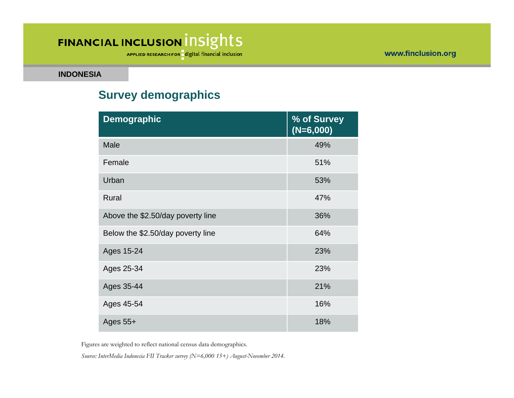APPLIED RESEARCH FOR digital financial inclusion

**INDONESIA**

### **Survey demographics**

| <b>Demographic</b>                | % of Survey<br>$(N=6,000)$ |
|-----------------------------------|----------------------------|
| Male                              | 49%                        |
| Female                            | 51%                        |
| Urban                             | 53%                        |
| Rural                             | 47%                        |
| Above the \$2.50/day poverty line | 36%                        |
| Below the \$2.50/day poverty line | 64%                        |
| Ages 15-24                        | 23%                        |
| Ages 25-34                        | 23%                        |
| Ages 35-44                        | 21%                        |
| Ages 45-54                        | 16%                        |
| Ages $55+$                        | 18%                        |

Figures are weighted to reflect national census data demographics.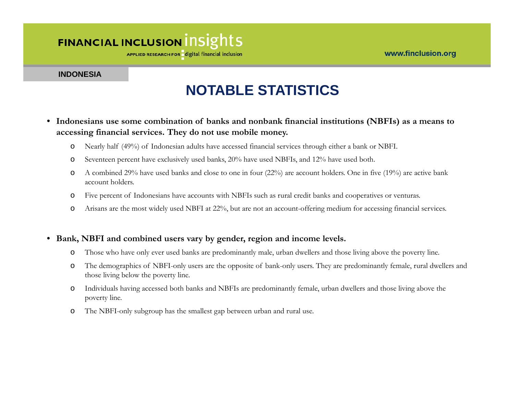APPLIED RESEARCH FOR digital financial inclusion

#### **INDONESIA**

### **NOTABLE STATISTICS**

- **Indonesians use some combination of banks and nonbank financial institutions (NBFIs) as a means to accessing financial services. They do not use mobile money.** 
	- oNearly half (49%) of Indonesian adults have accessed financial services through either a bank or NBFI.
	- oSeventeen percent have exclusively used banks, 20% have used NBFIs, and 12% have used both.
	- o A combined 29% have used banks and close to one in four (22%) are account holders. One in five (19%) are active bank account holders.
	- oFive percent of Indonesians have accounts with NBFIs such as rural credit banks and cooperatives or venturas.
	- oArisans are the most widely used NBFI at 22%, but are not an account-offering medium for accessing financial services.
- **Bank, NBFI and combined users vary by gender, region and income levels.** 
	- oThose who have only ever used banks are predominantly male, urban dwellers and those living above the poverty line.
	- o The demographics of NBFI-only users are the opposite of bank-only users. They are predominantly female, rural dwellers and those living below the poverty line.
	- o Individuals having accessed both banks and NBFIs are predominantly female, urban dwellers and those living above the poverty line.
	- oThe NBFI-only subgroup has the smallest gap between urban and rural use.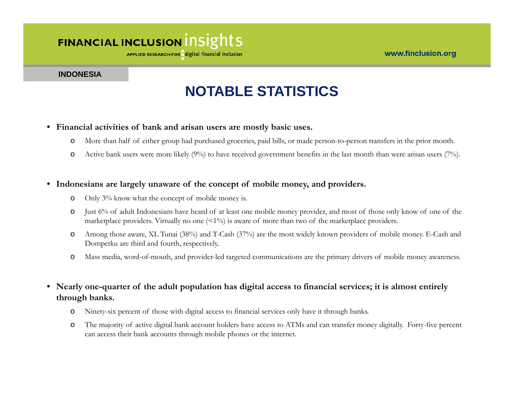APPLIED RESEARCH FOR digital financial inclusion

#### **INDONESIA**

### **NOTABLE STATISTICS**

#### • **Financial activities of bank and arisan users are mostly basic uses.**

- oMore than half of either group had purchased groceries, paid bills, or made person-to-person transfers in the prior month.
- oActive bank users were more likely (9%) to have received government benefits in the last month than were arisan users (7%).

#### • **Indonesians are largely unaware of the concept of mobile money, and providers.**

- oOnly 3% know what the concept of mobile money is.
- o Just 6% of adult Indonesians have heard of at least one mobile money provider, and most of those only know of one of the marketplace providers. Virtually no one  $(1\%)$  is aware of more than two of the marketplace providers.
- o Among those aware, XL Tunai (38%) and T-Cash (37%) are the most widely known providers of mobile money. E-Cash and Dompetku are third and fourth, respectively.
- oMass media, word-of-mouth, and provider-led targeted communications are the primary drivers of mobile money awareness.

#### • **Nearly one-quarter of the adult population has digital access to financial services; it is almost entirely through banks.**

- oNinety-six percent of those with digital access to financial services only have it through banks.
- o The majority of active digital bank account holders have access to ATMs and can transfer money digitally. Forty-five percent can access their bank accounts through mobile phones or the internet.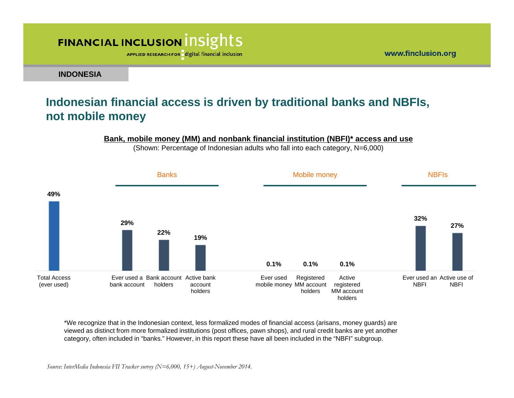APPLIED RESEARCH FOR digital financial inclusion

**INDONESIA**

#### **Indonesian financial access is driven by traditional banks and NBFIs, not mobile money**

#### **Bank, mobile money (MM) and nonbank financial institution (NBFI)\* access and use**

(Shown: Percentage of Indonesian adults who fall into each category, N=6,000)



\*We recognize that in the Indonesian context, less formalized modes of financial access (arisans, money guards) are viewed as distinct from more formalized institutions (post offices, pawn shops), and rural credit banks are yet another category, often included in "banks." However, in this report these have all been included in the "NBFI" subgroup.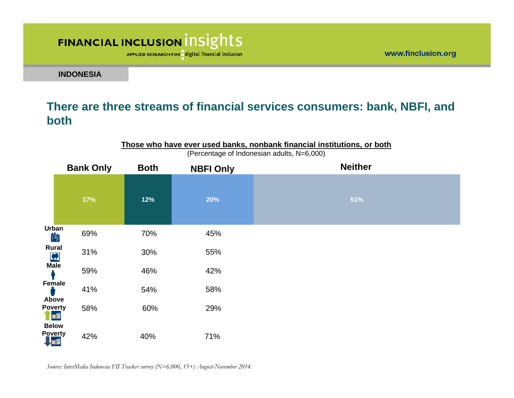APPLIED RESEARCH FOR digital financial inclusion

www.finclusion.org

**INDONESIA**

#### **There are three streams of financial services consumers: bank, NBFI, and both**

|                              | (Felcentage of indonesian addits, N=0,000) |             |                  |                |  |
|------------------------------|--------------------------------------------|-------------|------------------|----------------|--|
|                              | <b>Bank Only</b>                           | <b>Both</b> | <b>NBFI Only</b> | <b>Neither</b> |  |
|                              | 17%                                        | 12%         | 20%              | 51%            |  |
| Urban                        | 69%                                        | 70%         | 45%              |                |  |
| Rural<br>$\frac{P}{M}$       | 31%                                        | 30%         | 55%              |                |  |
|                              | 59%                                        | 46%         | 42%              |                |  |
| Female<br>Above              | 41%                                        | 54%         | 58%              |                |  |
| <b>Poverty</b><br><b>THE</b> | 58%                                        | 60%         | 29%              |                |  |
| <b>Below</b>                 |                                            |             |                  |                |  |
| Poverty<br>【 <mark>【</mark>  | 42%                                        | 40%         | 71%              |                |  |

**Those who have ever used banks, nonbank financial institutions, or both** (Percentage of Indonesian adults, N=6,000)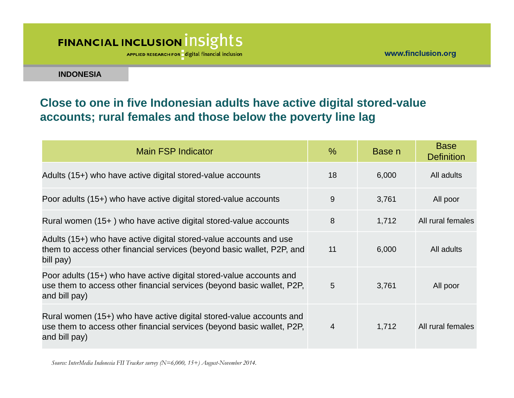APPLIED RESEARCH FOR digital financial inclusion

**INDONESIA**

#### **Close to one in five Indonesian adults have active digital stored-value accounts; rural females and those below the poverty line lag**

| Main FSP Indicator                                                                                                                                             | $\%$ | Base n | <b>Base</b><br><b>Definition</b> |
|----------------------------------------------------------------------------------------------------------------------------------------------------------------|------|--------|----------------------------------|
| Adults (15+) who have active digital stored-value accounts                                                                                                     | 18   | 6,000  | All adults                       |
| Poor adults (15+) who have active digital stored-value accounts                                                                                                | 9    | 3,761  | All poor                         |
| Rural women (15+) who have active digital stored-value accounts                                                                                                | 8    | 1,712  | All rural females                |
| Adults (15+) who have active digital stored-value accounts and use<br>them to access other financial services (beyond basic wallet, P2P, and<br>bill pay)      | 11   | 6,000  | All adults                       |
| Poor adults (15+) who have active digital stored-value accounts and<br>use them to access other financial services (beyond basic wallet, P2P,<br>and bill pay) | 5    | 3,761  | All poor                         |
| Rural women (15+) who have active digital stored-value accounts and<br>use them to access other financial services (beyond basic wallet, P2P,<br>and bill pay) | 4    | 1,712  | All rural females                |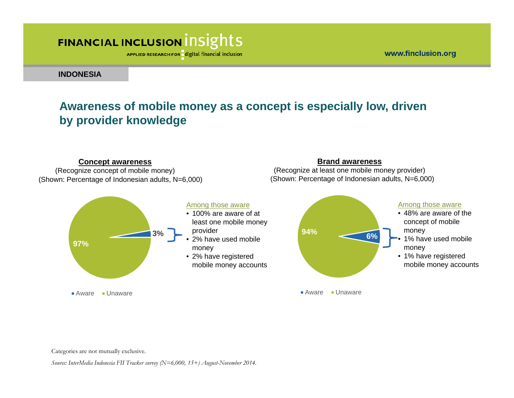#### www.finclusion.org

**Brand awareness** (Recognize at least one mobile money provider)

## FINANCIAL INCLUSION INSIGHTS

APPLIED RESEARCH FOR digital financial inclusion

**INDONESIA**

#### **Awareness of mobile money as a concept is especially low, driven by provider knowledge**

#### **Concept awareness**

(Shown: Percentage of Indonesian adults, N=6,000) (Shown: Percentage of Indonesian adults, N=6,000) (Recognize concept of mobile money)



Categories are not mutually exclusive.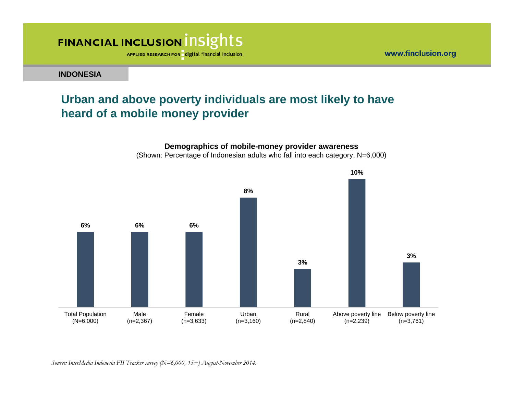APPLIED RESEARCH FOR digital financial inclusion

**INDONESIA**

#### **Urban and above poverty individuals are most likely to have heard of a mobile money provider**

www.finclusion.org

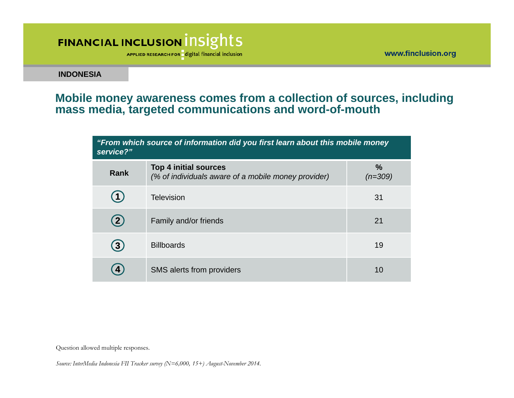APPLIED RESEARCH FOR digital financial inclusion

www.finclusion.org

**INDONESIA**

#### **Mobile money awareness comes from a collection of sources, including mass media, targeted communications and word-of-mouth**

| "From which source of information did you first learn about this mobile money<br>service?" |                                                                                     |                   |  |
|--------------------------------------------------------------------------------------------|-------------------------------------------------------------------------------------|-------------------|--|
| Rank                                                                                       | <b>Top 4 initial sources</b><br>(% of individuals aware of a mobile money provider) | $\%$<br>$(n=309)$ |  |
| 15                                                                                         | <b>Television</b>                                                                   | 31                |  |
| $\mathbf{2}$                                                                               | Family and/or friends                                                               | 21                |  |
| 3)                                                                                         | <b>Billboards</b>                                                                   | 19                |  |
|                                                                                            | SMS alerts from providers                                                           | 10                |  |

Question allowed multiple responses.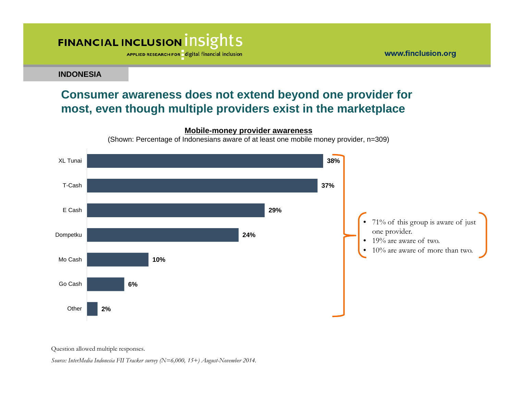APPLIED RESEARCH FOR digital financial inclusion

**INDONESIA**

#### **Consumer awareness does not extend beyond one provider for most, even though multiple providers exist in the marketplace**

#### **Mobile-money provider awareness**

(Shown: Percentage of Indonesians aware of at least one mobile money provider, n=309)



www.finclusion.org

Question allowed multiple responses.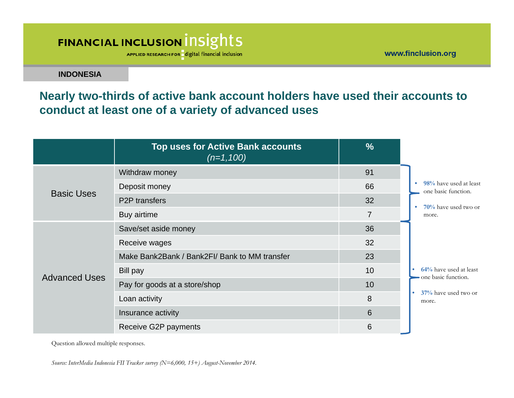APPLIED RESEARCH FOR digital financial inclusion

www.finclusion.org

**INDONESIA**

**Nearly two-thirds of active bank account holders have used their accounts to conduct at least one of a variety of advanced uses**

|                      | <b>Top uses for Active Bank accounts</b><br>$(n=1,100)$ | $\frac{0}{0}$  |                                                              |  |
|----------------------|---------------------------------------------------------|----------------|--------------------------------------------------------------|--|
|                      | Withdraw money                                          | 91             |                                                              |  |
| <b>Basic Uses</b>    | Deposit money                                           | 66             | 98% have used at least<br>one basic function.                |  |
|                      | <b>P2P</b> transfers                                    | 32             | 70% have used two or<br>٠                                    |  |
|                      | Buy airtime                                             | $\overline{7}$ | more.                                                        |  |
|                      | Save/set aside money                                    | 36             |                                                              |  |
|                      | Receive wages                                           | 32             |                                                              |  |
|                      | Make Bank2Bank / Bank2FI/ Bank to MM transfer           | 23             |                                                              |  |
| <b>Advanced Uses</b> | <b>Bill pay</b>                                         | 10             | 64% have used at least<br>$\bullet$<br>- one basic function. |  |
|                      | Pay for goods at a store/shop                           | 10             |                                                              |  |
|                      | Loan activity                                           | 8              | 37% have used two or<br>۰<br>more.                           |  |
|                      | Insurance activity                                      | 6              |                                                              |  |
|                      | Receive G2P payments                                    | 6              |                                                              |  |

Question allowed multiple responses.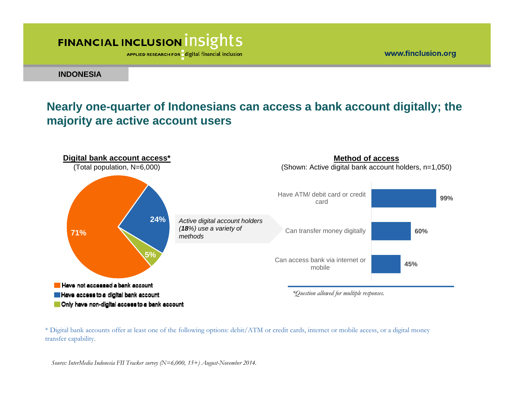APPLIED RESEARCH FOR digital financial inclusion

www.finclusion.org

**INDONESIA**

### **Nearly one-quarter of Indonesians can access a bank account digitally; the majority are active account users**



\* Digital bank accounts offer at least one of the following options: debit/ATM or credit cards, internet or mobile access, or a digital money transfer capability.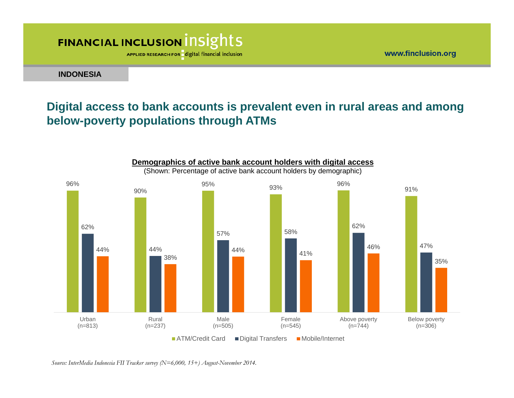APPLIED RESEARCH FOR digital financial inclusion

**INDONESIA**

### **Digital access to bank accounts is prevalent even in rural areas and among below-poverty populations through ATMs**

www.finclusion.org

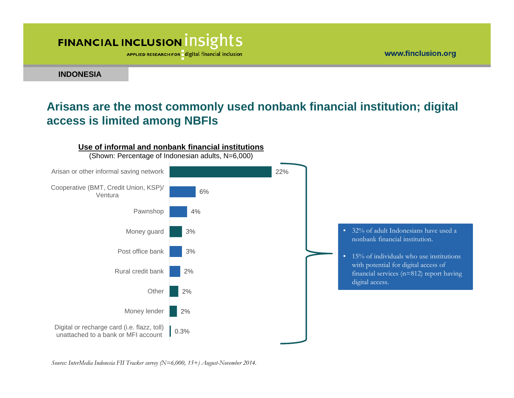APPLIED RESEARCH FOR digital financial inclusion

www.finclusion.org

**INDONESIA**

### **Arisans are the most commonly used nonbank financial institution; digital access is limited among NBFIs**

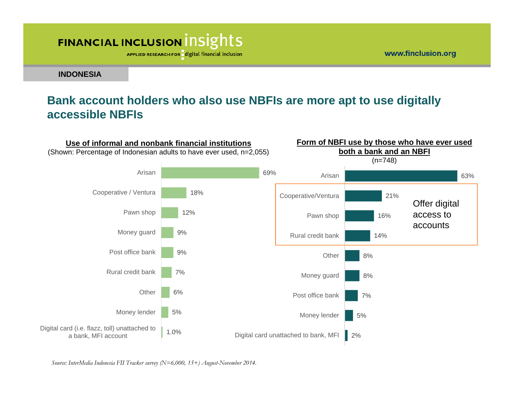APPLIED RESEARCH FOR digital financial inclusion

www.finclusion.org

**INDONESIA**

#### **Bank account holders who also use NBFIs are more apt to use digitally accessible NBFIs**

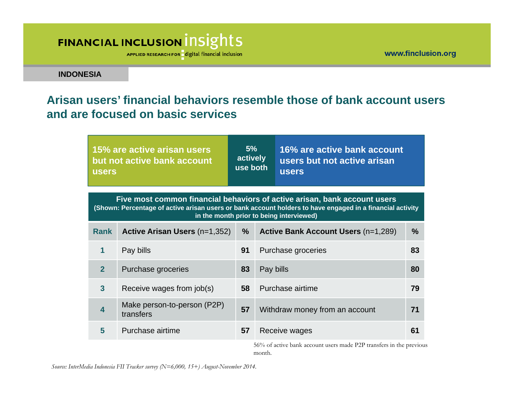APPLIED RESEARCH FOR digital financial inclusion

**INDONESIA**

### **Arisan users' financial behaviors resemble those of bank account users and are focused on basic services**

| 15% are active arisan users<br>but not active bank account<br><b>users</b>                                                                                                                                                         |                                          | 5%<br>actively<br>use both |           | 16% are active bank account<br>users but not active arisan<br><b>users</b>                                                                                                                                                                                                                                                                                                                                                                                                                                                                       |               |  |
|------------------------------------------------------------------------------------------------------------------------------------------------------------------------------------------------------------------------------------|------------------------------------------|----------------------------|-----------|--------------------------------------------------------------------------------------------------------------------------------------------------------------------------------------------------------------------------------------------------------------------------------------------------------------------------------------------------------------------------------------------------------------------------------------------------------------------------------------------------------------------------------------------------|---------------|--|
| Five most common financial behaviors of active arisan, bank account users<br>(Shown: Percentage of active arisan users or bank account holders to have engaged in a financial activity<br>in the month prior to being interviewed) |                                          |                            |           |                                                                                                                                                                                                                                                                                                                                                                                                                                                                                                                                                  |               |  |
| <b>Rank</b>                                                                                                                                                                                                                        | <b>Active Arisan Users (n=1,352)</b>     | $\frac{0}{0}$              |           | <b>Active Bank Account Users (n=1,289)</b>                                                                                                                                                                                                                                                                                                                                                                                                                                                                                                       | $\frac{9}{6}$ |  |
| 1                                                                                                                                                                                                                                  | Pay bills                                | 91                         |           | Purchase groceries                                                                                                                                                                                                                                                                                                                                                                                                                                                                                                                               | 83            |  |
| $\overline{2}$                                                                                                                                                                                                                     | Purchase groceries                       | 83                         | Pay bills |                                                                                                                                                                                                                                                                                                                                                                                                                                                                                                                                                  | 80            |  |
| $\overline{\mathbf{3}}$                                                                                                                                                                                                            | Receive wages from job(s)                | 58                         |           | Purchase airtime                                                                                                                                                                                                                                                                                                                                                                                                                                                                                                                                 | 79            |  |
| $\overline{\mathbf{4}}$                                                                                                                                                                                                            | Make person-to-person (P2P)<br>transfers | 57                         |           | Withdraw money from an account                                                                                                                                                                                                                                                                                                                                                                                                                                                                                                                   | 71            |  |
| 5                                                                                                                                                                                                                                  | Purchase airtime                         | 57                         |           | Receive wages<br>$\mathsf{r} \times \mathsf{r} \times \mathsf{r} \times \mathsf{r} \times \mathsf{r} \times \mathsf{r} \times \mathsf{r} \times \mathsf{r} \times \mathsf{r} \times \mathsf{r} \times \mathsf{r} \times \mathsf{r} \times \mathsf{r} \times \mathsf{r} \times \mathsf{r} \times \mathsf{r} \times \mathsf{r} \times \mathsf{r} \times \mathsf{r} \times \mathsf{r} \times \mathsf{r} \times \mathsf{r} \times \mathsf{r} \times \mathsf{r} \times \mathsf{r} \times \mathsf{r} \times \mathsf{r} \times \mathsf{$<br>$1 \cdot 1$ | 61            |  |

56% of active bank account users made P2P transfers in the previous month.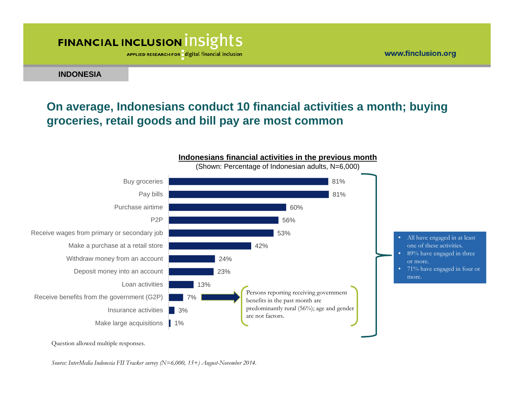APPLIED RESEARCH FOR digital financial inclusion

**INDONESIA**

### **On average, Indonesians conduct 10 financial activities a month; buying groceries, retail goods and bill pay are most common**

www.finclusion.org



Question allowed multiple responses.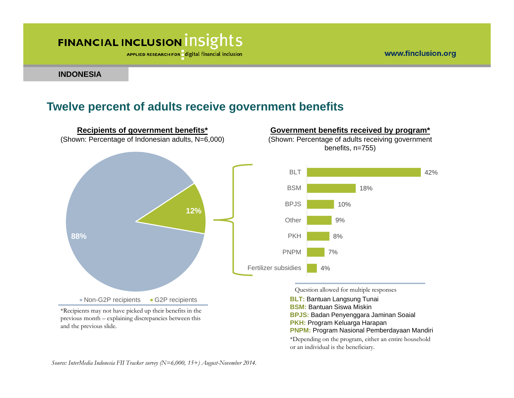APPLIED RESEARCH FOR digital financial inclusion

**INDONESIA**

#### **Twelve percent of adults receive government benefits**



previous month – explaining discrepancies between this and the previous slide.

**PKH:** Program Keluarga Harapan

**PNPM:** Program Nasional Pemberdayaan Mandiri

\*Depending on the program, either an entire household or an individual is the beneficiary.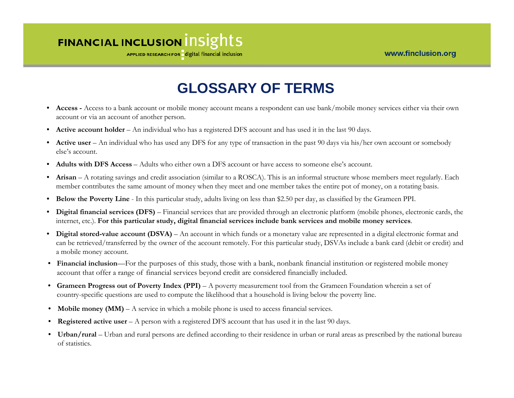APPLIED RESEARCH FOR digital financial inclusion

### **GLOSSARY OF TERMS**

- **Access -** Access to a bank account or mobile money account means a respondent can use bank/mobile money services either via their own account or via an account of another person.
- $\bullet$ **Active account holder** – An individual who has a registered DFS account and has used it in the last 90 days.
- **Active user** An individual who has used any DFS for any type of transaction in the past 90 days via his/her own account or somebody else's account.
- •**Adults with DFS Access** – Adults who either own a DFS account or have access to someone else's account.
- • **Arisan** – A rotating savings and credit association (similar to a ROSCA). This is an informal structure whose members meet regularly. Each member contributes the same amount of money when they meet and one member takes the entire pot of money, on a rotating basis.
- •**Below the Poverty Line** - In this particular study, adults living on less than \$2.50 per day, as classified by the Grameen PPI.
- • **Digital financial services (DFS)** – Financial services that are provided through an electronic platform (mobile phones, electronic cards, the internet, etc.). **For this particular study, digital financial services include bank services and mobile money services**.
- •**Digital stored-value account (DSVA)** – An account in which funds or a monetary value are represented in a digital electronic format and can be retrieved/transferred by the owner of the account remotely. For this particular study, DSVAs include a bank card (debit or credit) and a mobile money account.
- **Financial inclusion**—For the purposes of this study, those with a bank, nonbank financial institution or registered mobile money account that offer a range of financial services beyond credit are considered financially included.
- **Grameen Progress out of Poverty Index (PPI)**  A poverty measurement tool from the Grameen Foundation wherein a set of country-specific questions are used to compute the likelihood that a household is living below the poverty line.
- **Mobile money (MM)**  A service in which a mobile phone is used to access financial services.
- **Registered active user**  A person with a registered DFS account that has used it in the last 90 days.
- **Urban/rural**  Urban and rural persons are defined according to their residence in urban or rural areas as prescribed by the national bureau of statistics.